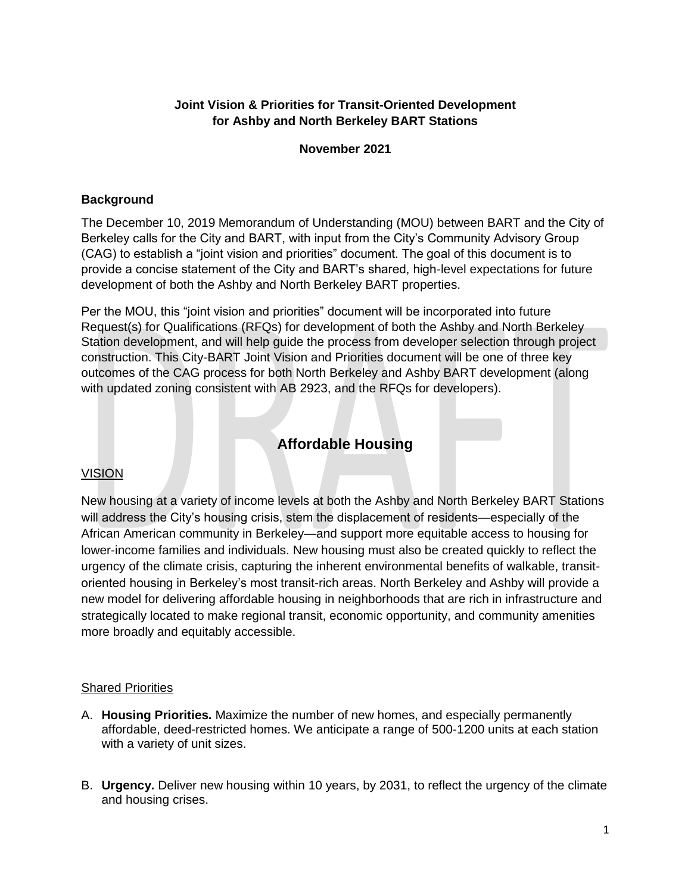## **Joint Vision & Priorities for Transit-Oriented Development for Ashby and North Berkeley BART Stations**

#### **November 2021**

#### **Background**

The December 10, 2019 Memorandum of Understanding (MOU) between BART and the City of Berkeley calls for the City and BART, with input from the City's Community Advisory Group (CAG) to establish a "joint vision and priorities" document. The goal of this document is to provide a concise statement of the City and BART's shared, high-level expectations for future development of both the Ashby and North Berkeley BART properties.

Per the MOU, this "joint vision and priorities" document will be incorporated into future Request(s) for Qualifications (RFQs) for development of both the Ashby and North Berkeley Station development, and will help guide the process from developer selection through project construction. This City-BART Joint Vision and Priorities document will be one of three key outcomes of the CAG process for both North Berkeley and Ashby BART development (along with updated zoning consistent with AB 2923, and the RFQs for developers).

# **Affordable Housing**

#### VISION

New housing at a variety of income levels at both the Ashby and North Berkeley BART Stations will address the City's housing crisis, stem the displacement of residents—especially of the African American community in Berkeley—and support more equitable access to housing for lower-income families and individuals. New housing must also be created quickly to reflect the urgency of the climate crisis, capturing the inherent environmental benefits of walkable, transitoriented housing in Berkeley's most transit-rich areas. North Berkeley and Ashby will provide a new model for delivering affordable housing in neighborhoods that are rich in infrastructure and strategically located to make regional transit, economic opportunity, and community amenities more broadly and equitably accessible.

#### **Shared Priorities**

- A. **Housing Priorities.** Maximize the number of new homes, and especially permanently affordable, deed-restricted homes. We anticipate a range of 500-1200 units at each station with a variety of unit sizes.
- B. **Urgency.** Deliver new housing within 10 years, by 2031, to reflect the urgency of the climate and housing crises.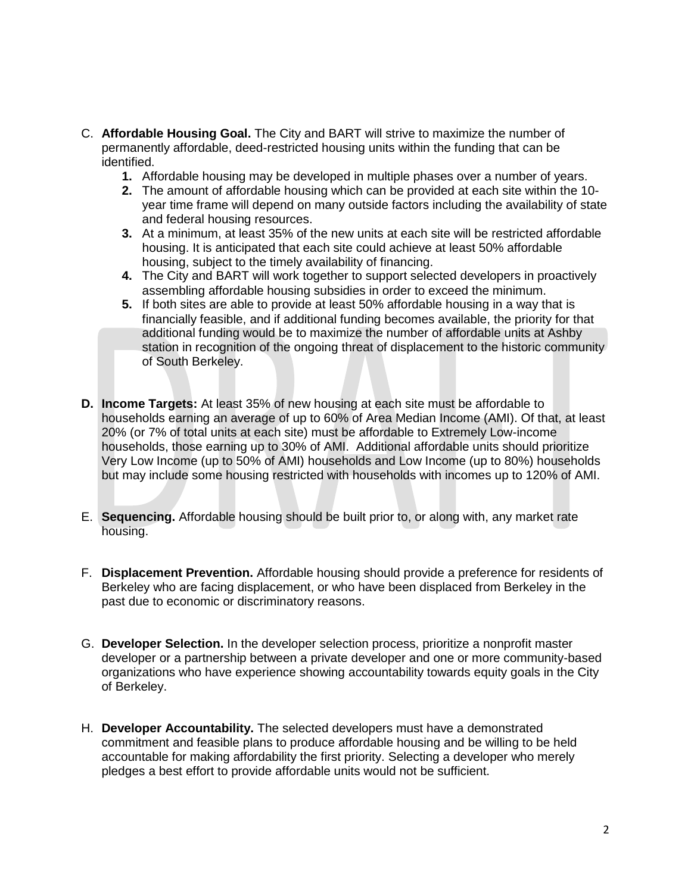- C. **Affordable Housing Goal.** The City and BART will strive to maximize the number of permanently affordable, deed-restricted housing units within the funding that can be identified.
	- **1.** Affordable housing may be developed in multiple phases over a number of years.
	- **2.** The amount of affordable housing which can be provided at each site within the 10 year time frame will depend on many outside factors including the availability of state and federal housing resources.
	- **3.** At a minimum, at least 35% of the new units at each site will be restricted affordable housing. It is anticipated that each site could achieve at least 50% affordable housing, subject to the timely availability of financing.
	- **4.** The City and BART will work together to support selected developers in proactively assembling affordable housing subsidies in order to exceed the minimum.
	- **5.** If both sites are able to provide at least 50% affordable housing in a way that is financially feasible, and if additional funding becomes available, the priority for that additional funding would be to maximize the number of affordable units at Ashby station in recognition of the ongoing threat of displacement to the historic community of South Berkeley.
- **D. Income Targets:** At least 35% of new housing at each site must be affordable to households earning an average of up to 60% of Area Median Income (AMI). Of that, at least 20% (or 7% of total units at each site) must be affordable to Extremely Low-income households, those earning up to 30% of AMI. Additional affordable units should prioritize Very Low Income (up to 50% of AMI) households and Low Income (up to 80%) households but may include some housing restricted with households with incomes up to 120% of AMI.
- E. **Sequencing.** Affordable housing should be built prior to, or along with, any market rate housing.
- F. **Displacement Prevention.** Affordable housing should provide a preference for residents of Berkeley who are facing displacement, or who have been displaced from Berkeley in the past due to economic or discriminatory reasons.
- G. **Developer Selection.** In the developer selection process, prioritize a nonprofit master developer or a partnership between a private developer and one or more community-based organizations who have experience showing accountability towards equity goals in the City of Berkeley.
- H. **Developer Accountability.** The selected developers must have a demonstrated commitment and feasible plans to produce affordable housing and be willing to be held accountable for making affordability the first priority. Selecting a developer who merely pledges a best effort to provide affordable units would not be sufficient.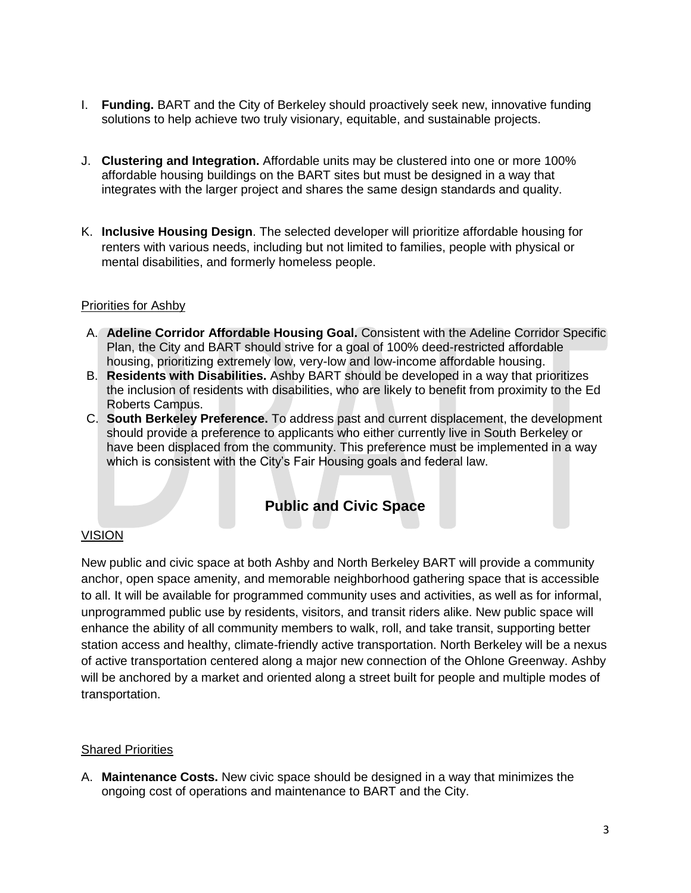- I. **Funding.** BART and the City of Berkeley should proactively seek new, innovative funding solutions to help achieve two truly visionary, equitable, and sustainable projects.
- J. **Clustering and Integration.** Affordable units may be clustered into one or more 100% affordable housing buildings on the BART sites but must be designed in a way that integrates with the larger project and shares the same design standards and quality.
- K. **Inclusive Housing Design**. The selected developer will prioritize affordable housing for renters with various needs, including but not limited to families, people with physical or mental disabilities, and formerly homeless people.

- A. **Adeline Corridor Affordable Housing Goal.** Consistent with the Adeline Corridor Specific Plan, the City and BART should strive for a goal of 100% deed-restricted affordable housing, prioritizing extremely low, very-low and low-income affordable housing.
- B. **Residents with Disabilities.** Ashby BART should be developed in a way that prioritizes the inclusion of residents with disabilities, who are likely to benefit from proximity to the Ed Roberts Campus.
- C. **South Berkeley Preference.** To address past and current displacement, the development should provide a preference to applicants who either currently live in South Berkeley or have been displaced from the community. This preference must be implemented in a way which is consistent with the City's Fair Housing goals and federal law.

# **Public and Civic Space**

#### VISION

New public and civic space at both Ashby and North Berkeley BART will provide a community anchor, open space amenity, and memorable neighborhood gathering space that is accessible to all. It will be available for programmed community uses and activities, as well as for informal, unprogrammed public use by residents, visitors, and transit riders alike. New public space will enhance the ability of all community members to walk, roll, and take transit, supporting better station access and healthy, climate-friendly active transportation. North Berkeley will be a nexus of active transportation centered along a major new connection of the Ohlone Greenway. Ashby will be anchored by a market and oriented along a street built for people and multiple modes of transportation.

#### Shared Priorities

A. **Maintenance Costs.** New civic space should be designed in a way that minimizes the ongoing cost of operations and maintenance to BART and the City.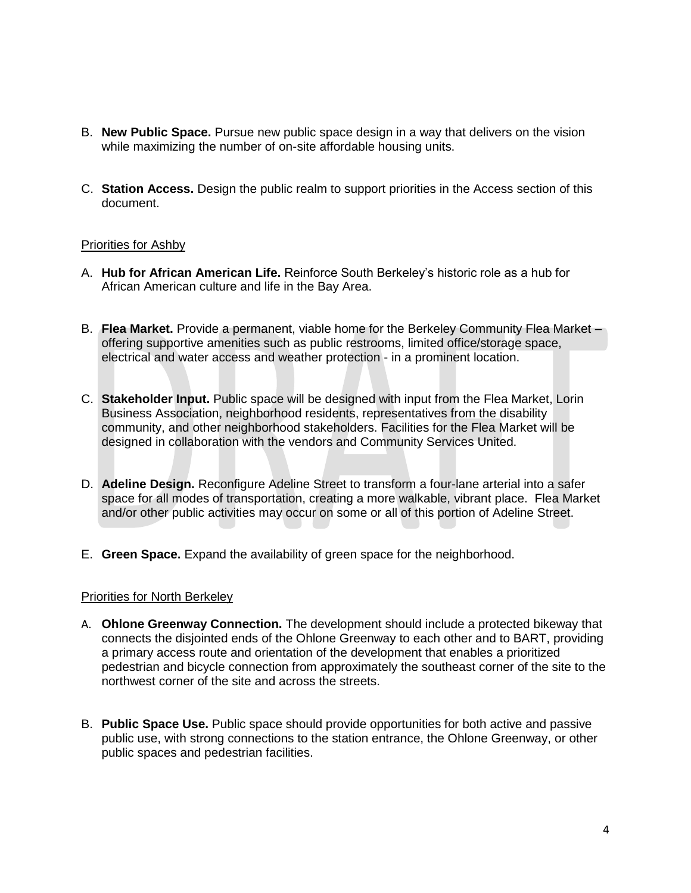- B. **New Public Space.** Pursue new public space design in a way that delivers on the vision while maximizing the number of on-site affordable housing units.
- C. **Station Access.** Design the public realm to support priorities in the Access section of this document.

- A. **Hub for African American Life.** Reinforce South Berkeley's historic role as a hub for African American culture and life in the Bay Area.
- B. **Flea Market.** Provide a permanent, viable home for the Berkeley Community Flea Market offering supportive amenities such as public restrooms, limited office/storage space, electrical and water access and weather protection - in a prominent location.
- C. **Stakeholder Input.** Public space will be designed with input from the Flea Market, Lorin Business Association, neighborhood residents, representatives from the disability community, and other neighborhood stakeholders. Facilities for the Flea Market will be designed in collaboration with the vendors and Community Services United.
- D. **Adeline Design.** Reconfigure Adeline Street to transform a four-lane arterial into a safer space for all modes of transportation, creating a more walkable, vibrant place. Flea Market and/or other public activities may occur on some or all of this portion of Adeline Street.
- E. **Green Space.** Expand the availability of green space for the neighborhood.

#### Priorities for North Berkeley

- A. **Ohlone Greenway Connection.** The development should include a protected bikeway that connects the disjointed ends of the Ohlone Greenway to each other and to BART, providing a primary access route and orientation of the development that enables a prioritized pedestrian and bicycle connection from approximately the southeast corner of the site to the northwest corner of the site and across the streets.
- B. **Public Space Use.** Public space should provide opportunities for both active and passive public use, with strong connections to the station entrance, the Ohlone Greenway, or other public spaces and pedestrian facilities.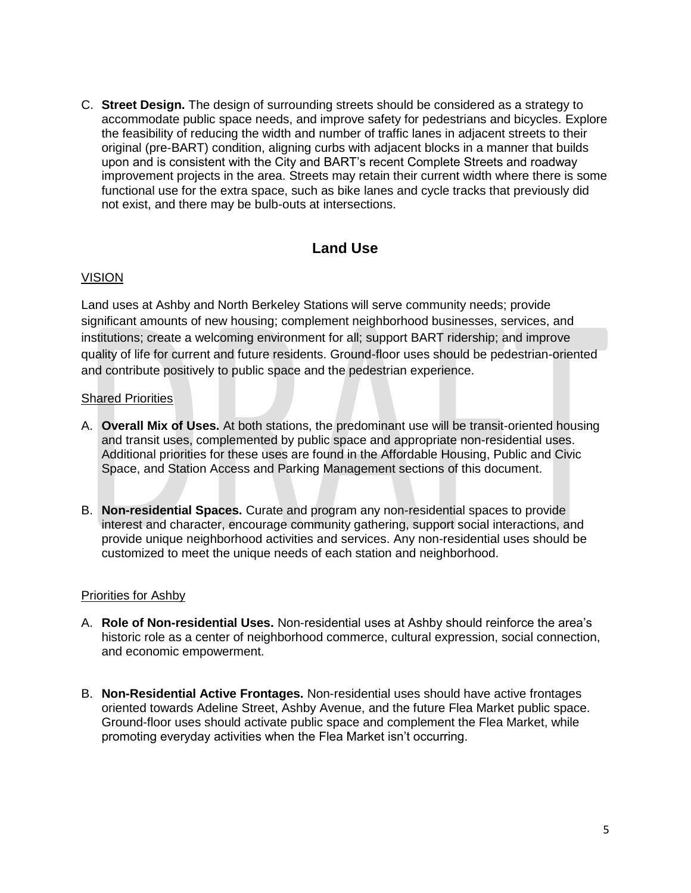C. **Street Design.** The design of surrounding streets should be considered as a strategy to accommodate public space needs, and improve safety for pedestrians and bicycles. Explore the feasibility of reducing the width and number of traffic lanes in adjacent streets to their original (pre-BART) condition, aligning curbs with adjacent blocks in a manner that builds upon and is consistent with the City and BART's recent Complete Streets and roadway improvement projects in the area. Streets may retain their current width where there is some functional use for the extra space, such as bike lanes and cycle tracks that previously did not exist, and there may be bulb-outs at intersections.

# **Land Use**

#### VISION

Land uses at Ashby and North Berkeley Stations will serve community needs; provide significant amounts of new housing; complement neighborhood businesses, services, and institutions; create a welcoming environment for all; support BART ridership; and improve quality of life for current and future residents. Ground-floor uses should be pedestrian-oriented and contribute positively to public space and the pedestrian experience.

#### Shared Priorities

- A. **Overall Mix of Uses.** At both stations, the predominant use will be transit-oriented housing and transit uses, complemented by public space and appropriate non-residential uses. Additional priorities for these uses are found in the Affordable Housing, Public and Civic Space, and Station Access and Parking Management sections of this document.
- B. **Non-residential Spaces.** Curate and program any non-residential spaces to provide interest and character, encourage community gathering, support social interactions, and provide unique neighborhood activities and services. Any non-residential uses should be customized to meet the unique needs of each station and neighborhood.

#### Priorities for Ashby

- A. **Role of Non-residential Uses.** Non-residential uses at Ashby should reinforce the area's historic role as a center of neighborhood commerce, cultural expression, social connection, and economic empowerment.
- B. **Non-Residential Active Frontages.** Non-residential uses should have active frontages oriented towards Adeline Street, Ashby Avenue, and the future Flea Market public space. Ground-floor uses should activate public space and complement the Flea Market, while promoting everyday activities when the Flea Market isn't occurring.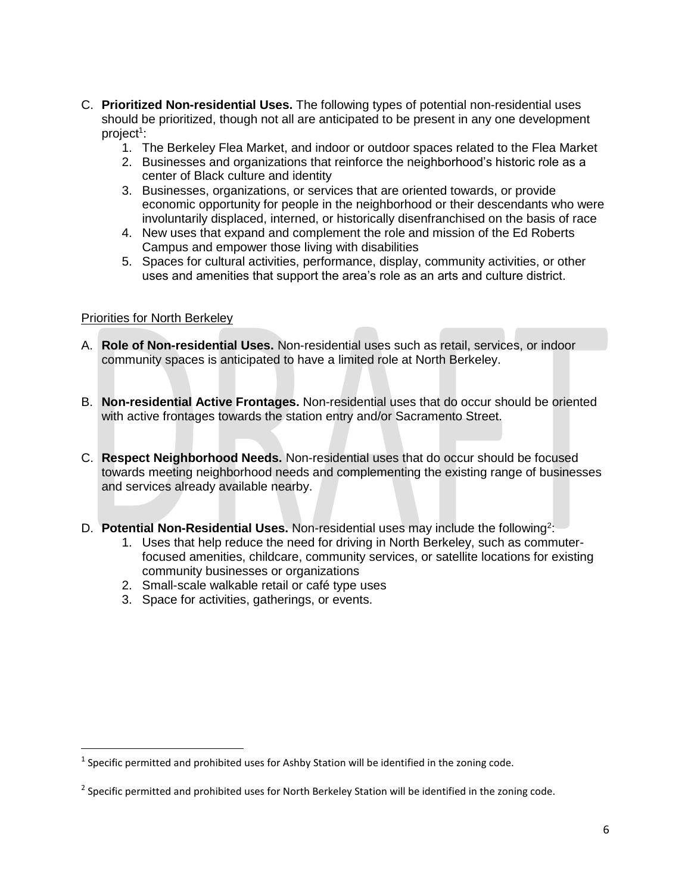- C. **Prioritized Non-residential Uses.** The following types of potential non-residential uses should be prioritized, though not all are anticipated to be present in any one development project<sup>1</sup>:
	- 1. The Berkeley Flea Market, and indoor or outdoor spaces related to the Flea Market
	- 2. Businesses and organizations that reinforce the neighborhood's historic role as a center of Black culture and identity
	- 3. Businesses, organizations, or services that are oriented towards, or provide economic opportunity for people in the neighborhood or their descendants who were involuntarily displaced, interned, or historically disenfranchised on the basis of race
	- 4. New uses that expand and complement the role and mission of the Ed Roberts Campus and empower those living with disabilities
	- 5. Spaces for cultural activities, performance, display, community activities, or other uses and amenities that support the area's role as an arts and culture district.

#### Priorities for North Berkeley

 $\overline{\phantom{a}}$ 

- A. **Role of Non-residential Uses.** Non-residential uses such as retail, services, or indoor community spaces is anticipated to have a limited role at North Berkeley.
- B. **Non-residential Active Frontages.** Non-residential uses that do occur should be oriented with active frontages towards the station entry and/or Sacramento Street.
- C. **Respect Neighborhood Needs.** Non-residential uses that do occur should be focused towards meeting neighborhood needs and complementing the existing range of businesses and services already available nearby.
- D. **Potential Non-Residential Uses.** Non-residential uses may include the following<sup>2</sup>:
	- 1. Uses that help reduce the need for driving in North Berkeley, such as commuterfocused amenities, childcare, community services, or satellite locations for existing community businesses or organizations
	- 2. Small-scale walkable retail or café type uses
	- 3. Space for activities, gatherings, or events.

 $<sup>1</sup>$  Specific permitted and prohibited uses for Ashby Station will be identified in the zoning code.</sup>

 $2$  Specific permitted and prohibited uses for North Berkeley Station will be identified in the zoning code.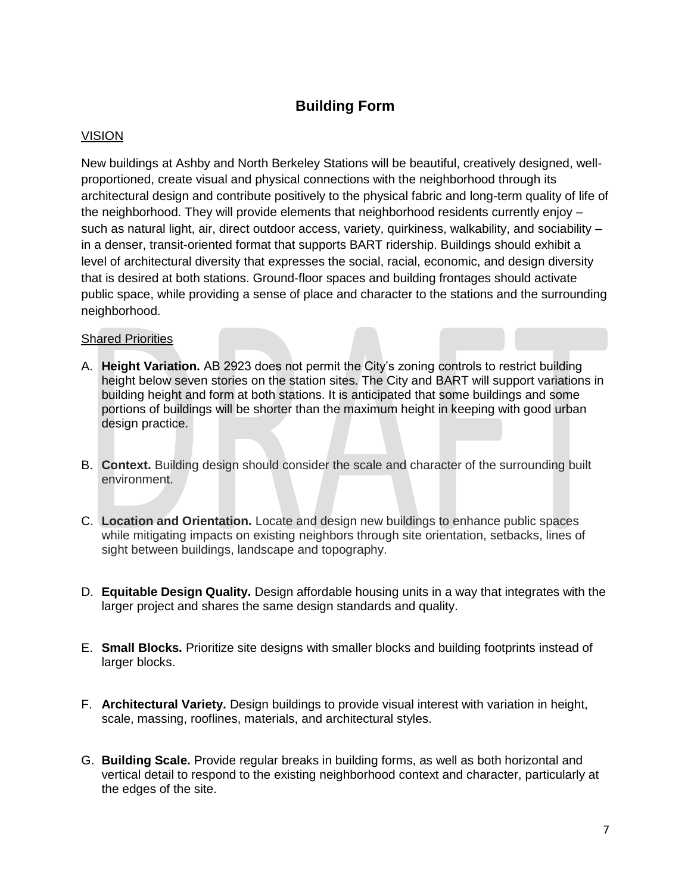# **Building Form**

## VISION

New buildings at Ashby and North Berkeley Stations will be beautiful, creatively designed, wellproportioned, create visual and physical connections with the neighborhood through its architectural design and contribute positively to the physical fabric and long-term quality of life of the neighborhood. They will provide elements that neighborhood residents currently enjoy – such as natural light, air, direct outdoor access, variety, quirkiness, walkability, and sociability – in a denser, transit-oriented format that supports BART ridership. Buildings should exhibit a level of architectural diversity that expresses the social, racial, economic, and design diversity that is desired at both stations. Ground-floor spaces and building frontages should activate public space, while providing a sense of place and character to the stations and the surrounding neighborhood.

#### Shared Priorities

- A. **Height Variation.** AB 2923 does not permit the City's zoning controls to restrict building height below seven stories on the station sites. The City and BART will support variations in building height and form at both stations. It is anticipated that some buildings and some portions of buildings will be shorter than the maximum height in keeping with good urban design practice.
- B. **Context.** Building design should consider the scale and character of the surrounding built environment.
- C. **Location and Orientation.** Locate and design new buildings to enhance public spaces while mitigating impacts on existing neighbors through site orientation, setbacks, lines of sight between buildings, landscape and topography.
- D. **Equitable Design Quality.** Design affordable housing units in a way that integrates with the larger project and shares the same design standards and quality.
- E. **Small Blocks.** Prioritize site designs with smaller blocks and building footprints instead of larger blocks.
- F. **Architectural Variety.** Design buildings to provide visual interest with variation in height, scale, massing, rooflines, materials, and architectural styles.
- G. **Building Scale.** Provide regular breaks in building forms, as well as both horizontal and vertical detail to respond to the existing neighborhood context and character, particularly at the edges of the site.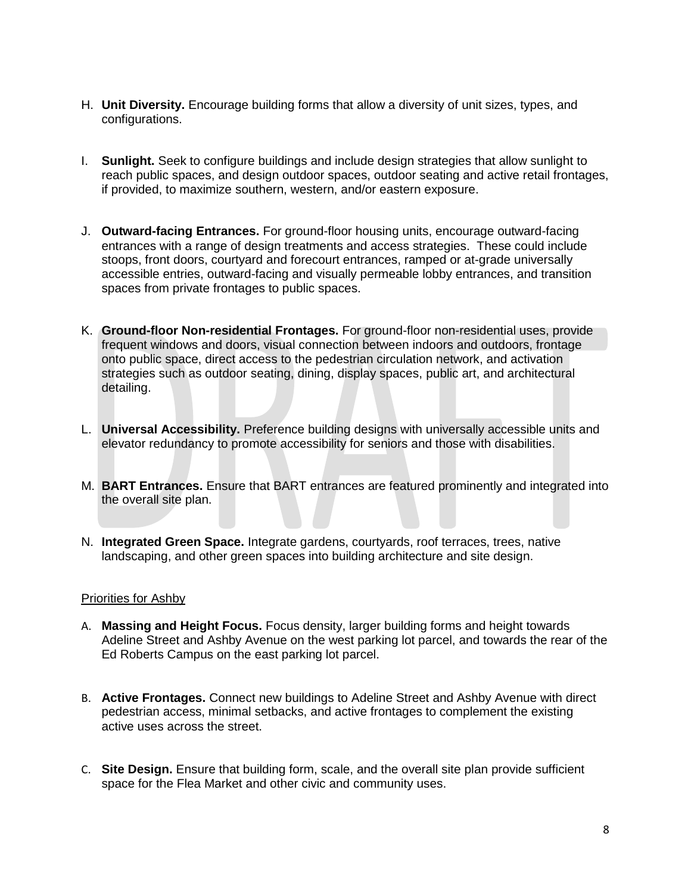- H. **Unit Diversity.** Encourage building forms that allow a diversity of unit sizes, types, and configurations.
- I. **Sunlight.** Seek to configure buildings and include design strategies that allow sunlight to reach public spaces, and design outdoor spaces, outdoor seating and active retail frontages, if provided, to maximize southern, western, and/or eastern exposure.
- J. **Outward-facing Entrances.** For ground-floor housing units, encourage outward-facing entrances with a range of design treatments and access strategies. These could include stoops, front doors, courtyard and forecourt entrances, ramped or at-grade universally accessible entries, outward-facing and visually permeable lobby entrances, and transition spaces from private frontages to public spaces.
- K. **Ground-floor Non-residential Frontages.** For ground-floor non-residential uses, provide frequent windows and doors, visual connection between indoors and outdoors, frontage onto public space, direct access to the pedestrian circulation network, and activation strategies such as outdoor seating, dining, display spaces, public art, and architectural detailing.
- L. **Universal Accessibility.** Preference building designs with universally accessible units and elevator redundancy to promote accessibility for seniors and those with disabilities.
- M. **BART Entrances.** Ensure that BART entrances are featured prominently and integrated into the overall site plan.
- N. **Integrated Green Space.** Integrate gardens, courtyards, roof terraces, trees, native landscaping, and other green spaces into building architecture and site design.

- A. **Massing and Height Focus.** Focus density, larger building forms and height towards Adeline Street and Ashby Avenue on the west parking lot parcel, and towards the rear of the Ed Roberts Campus on the east parking lot parcel.
- B. **Active Frontages.** Connect new buildings to Adeline Street and Ashby Avenue with direct pedestrian access, minimal setbacks, and active frontages to complement the existing active uses across the street.
- C. **Site Design.** Ensure that building form, scale, and the overall site plan provide sufficient space for the Flea Market and other civic and community uses.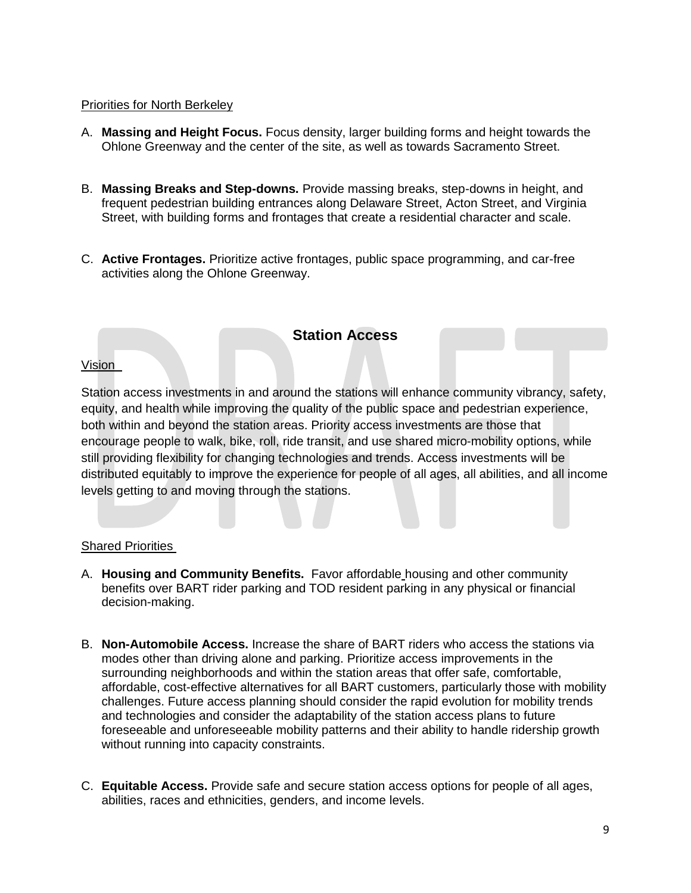#### Priorities for North Berkeley

- A. **Massing and Height Focus.** Focus density, larger building forms and height towards the Ohlone Greenway and the center of the site, as well as towards Sacramento Street.
- B. **Massing Breaks and Step-downs.** Provide massing breaks, step-downs in height, and frequent pedestrian building entrances along Delaware Street, Acton Street, and Virginia Street, with building forms and frontages that create a residential character and scale.
- C. **Active Frontages.** Prioritize active frontages, public space programming, and car-free activities along the Ohlone Greenway.

## **Station Access**

#### Vision

Station access investments in and around the stations will enhance community vibrancy, safety, equity, and health while improving the quality of the public space and pedestrian experience, both within and beyond the station areas. Priority access investments are those that encourage people to walk, bike, roll, ride transit, and use shared micro-mobility options, while still providing flexibility for changing technologies and trends. Access investments will be distributed equitably to improve the experience for people of all ages, all abilities, and all income levels getting to and moving through the stations.

#### Shared Priorities

- A. **Housing and Community Benefits.** Favor affordable housing and other community benefits over BART rider parking and TOD resident parking in any physical or financial decision-making.
- B. **Non-Automobile Access.** Increase the share of BART riders who access the stations via modes other than driving alone and parking. Prioritize access improvements in the surrounding neighborhoods and within the station areas that offer safe, comfortable, affordable, cost-effective alternatives for all BART customers, particularly those with mobility challenges. Future access planning should consider the rapid evolution for mobility trends and technologies and consider the adaptability of the station access plans to future foreseeable and unforeseeable mobility patterns and their ability to handle ridership growth without running into capacity constraints.
- C. **Equitable Access.** Provide safe and secure station access options for people of all ages, abilities, races and ethnicities, genders, and income levels.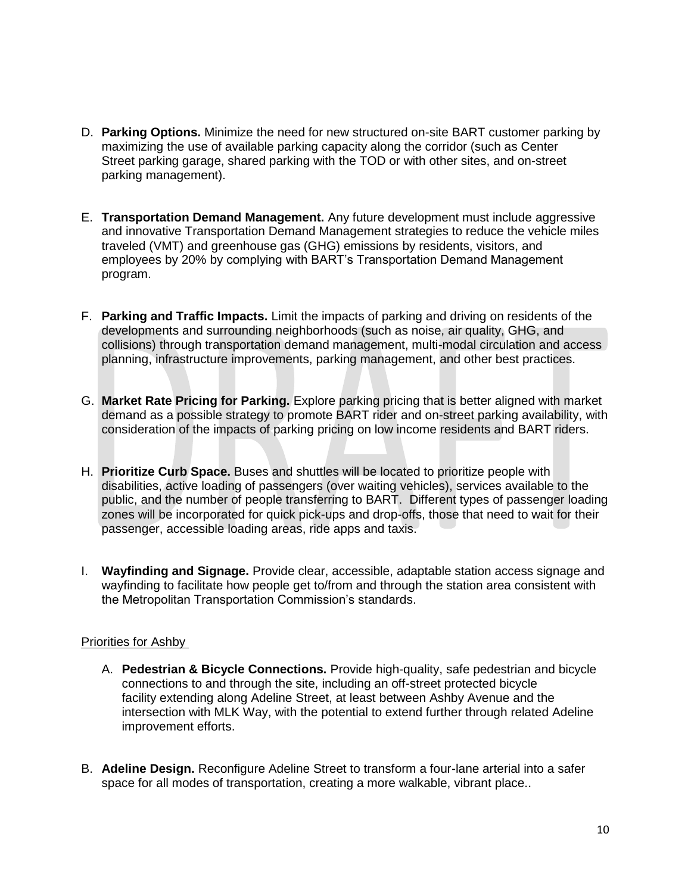- D. **Parking Options.** Minimize the need for new structured on-site BART customer parking by maximizing the use of available parking capacity along the corridor (such as Center Street parking garage, shared parking with the TOD or with other sites, and on-street parking management).
- E. **Transportation Demand Management.** Any future development must include aggressive and innovative Transportation Demand Management strategies to reduce the vehicle miles traveled (VMT) and greenhouse gas (GHG) emissions by residents, visitors, and employees by 20% by complying with BART's Transportation Demand Management program.
- F. **Parking and Traffic Impacts.** Limit the impacts of parking and driving on residents of the developments and surrounding neighborhoods (such as noise, air quality, GHG, and collisions) through transportation demand management, multi-modal circulation and access planning, infrastructure improvements, parking management, and other best practices.
- G. **Market Rate Pricing for Parking.** Explore parking pricing that is better aligned with market demand as a possible strategy to promote BART rider and on-street parking availability, with consideration of the impacts of parking pricing on low income residents and BART riders.
- H. **Prioritize Curb Space.** Buses and shuttles will be located to prioritize people with disabilities, active loading of passengers (over waiting vehicles), services available to the public, and the number of people transferring to BART. Different types of passenger loading zones will be incorporated for quick pick-ups and drop-offs, those that need to wait for their passenger, accessible loading areas, ride apps and taxis.
- I. **Wayfinding and Signage.** Provide clear, accessible, adaptable station access signage and wayfinding to facilitate how people get to/from and through the station area consistent with the Metropolitan Transportation Commission's standards.

- A. **Pedestrian & Bicycle Connections.** Provide high-quality, safe pedestrian and bicycle connections to and through the site, including an off-street protected bicycle facility extending along Adeline Street, at least between Ashby Avenue and the intersection with MLK Way, with the potential to extend further through related Adeline improvement efforts.
- B. **Adeline Design.** Reconfigure Adeline Street to transform a four-lane arterial into a safer space for all modes of transportation, creating a more walkable, vibrant place..